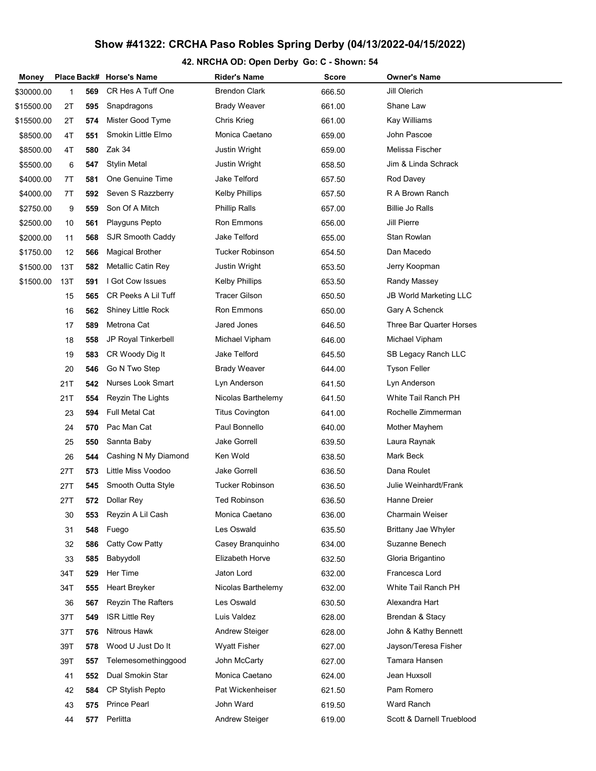## Show #41322: CRCHA Paso Robles Spring Derby (04/13/2022-04/15/2022)

## 42. NRCHA OD: Open Derby Go: C - Shown: 54

| Money      |     |     | Place Back# Horse's Name  | Rider's Name           | <b>Score</b> | <b>Owner's Name</b>           |
|------------|-----|-----|---------------------------|------------------------|--------------|-------------------------------|
| \$30000.00 | 1   | 569 | CR Hes A Tuff One         | <b>Brendon Clark</b>   | 666.50       | Jill Olerich                  |
| \$15500.00 | 2T  | 595 | Snapdragons               | <b>Brady Weaver</b>    | 661.00       | Shane Law                     |
| \$15500.00 | 2T  | 574 | Mister Good Tyme          | Chris Krieg            | 661.00       | Kay Williams                  |
| \$8500.00  | 4T  | 551 | Smokin Little Elmo        | Monica Caetano         | 659.00       | John Pascoe                   |
| \$8500.00  | 4T  | 580 | Zak 34                    | Justin Wright          | 659.00       | Melissa Fischer               |
| \$5500.00  | 6   | 547 | <b>Stylin Metal</b>       | Justin Wright          | 658.50       | Jim & Linda Schrack           |
| \$4000.00  | 7T  | 581 | One Genuine Time          | Jake Telford           | 657.50       | Rod Davey                     |
| \$4000.00  | 7T  | 592 | Seven S Razzberry         | <b>Kelby Phillips</b>  | 657.50       | R A Brown Ranch               |
| \$2750.00  | 9   | 559 | Son Of A Mitch            | <b>Phillip Ralls</b>   | 657.00       | <b>Billie Jo Ralls</b>        |
| \$2500.00  | 10  | 561 | Playguns Pepto            | Ron Emmons             | 656.00       | <b>Jill Pierre</b>            |
| \$2000.00  | 11  | 568 | SJR Smooth Caddy          | Jake Telford           | 655.00       | Stan Rowlan                   |
| \$1750.00  | 12  | 566 | <b>Magical Brother</b>    | <b>Tucker Robinson</b> | 654.50       | Dan Macedo                    |
| \$1500.00  | 13T | 582 | <b>Metallic Catin Rey</b> | Justin Wright          | 653.50       | Jerry Koopman                 |
| \$1500.00  | 13T | 591 | I Got Cow Issues          | <b>Kelby Phillips</b>  | 653.50       | Randy Massey                  |
|            | 15  | 565 | CR Peeks A Lil Tuff       | <b>Tracer Gilson</b>   | 650.50       | <b>JB World Marketing LLC</b> |
|            | 16  | 562 | Shiney Little Rock        | <b>Ron Emmons</b>      | 650.00       | Gary A Schenck                |
|            | 17  | 589 | Metrona Cat               | Jared Jones            | 646.50       | Three Bar Quarter Horses      |
|            | 18  | 558 | JP Royal Tinkerbell       | Michael Vipham         | 646.00       | Michael Vipham                |
|            | 19  | 583 | CR Woody Dig It           | Jake Telford           | 645.50       | SB Legacy Ranch LLC           |
|            | 20  | 546 | Go N Two Step             | <b>Brady Weaver</b>    | 644.00       | <b>Tyson Feller</b>           |
|            | 21T | 542 | <b>Nurses Look Smart</b>  | Lyn Anderson           | 641.50       | Lyn Anderson                  |
|            | 21T | 554 | Reyzin The Lights         | Nicolas Barthelemy     | 641.50       | White Tail Ranch PH           |
|            | 23  | 594 | <b>Full Metal Cat</b>     | <b>Titus Covington</b> | 641.00       | Rochelle Zimmerman            |
|            | 24  | 570 | Pac Man Cat               | Paul Bonnello          | 640.00       | Mother Mayhem                 |
|            | 25  | 550 | Sannta Baby               | <b>Jake Gorrell</b>    | 639.50       | Laura Raynak                  |
|            | 26  | 544 | Cashing N My Diamond      | Ken Wold               | 638.50       | Mark Beck                     |
|            | 27T | 573 | Little Miss Voodoo        | <b>Jake Gorrell</b>    | 636.50       | Dana Roulet                   |
|            | 27T | 545 | Smooth Outta Style        | Tucker Robinson        | 636.50       | <b>Julie Weinhardt/Frank</b>  |
|            | 27T | 572 | Dollar Rey                | <b>Ted Robinson</b>    | 636.50       | Hanne Dreier                  |
|            | 30  | 553 | Reyzin A Lil Cash         | Monica Caetano         | 636.00       | Charmain Weiser               |
|            | 31  | 548 | Fuego                     | Les Oswald             | 635.50       | Brittany Jae Whyler           |
|            | 32  | 586 | Catty Cow Patty           | Casey Branquinho       | 634.00       | Suzanne Benech                |
|            | 33  | 585 | Babyydoll                 | Elizabeth Horve        | 632.50       | Gloria Brigantino             |
|            | 34T | 529 | Her Time                  | Jaton Lord             | 632.00       | Francesca Lord                |
|            | 34T | 555 | <b>Heart Breyker</b>      | Nicolas Barthelemy     | 632.00       | White Tail Ranch PH           |
|            | 36  | 567 | <b>Reyzin The Rafters</b> | Les Oswald             | 630.50       | Alexandra Hart                |
|            | 37T | 549 | <b>ISR Little Rev</b>     | Luis Valdez            | 628.00       | Brendan & Stacy               |
|            | 37T | 576 | <b>Nitrous Hawk</b>       | Andrew Steiger         | 628.00       | John & Kathy Bennett          |
|            | 39T | 578 | Wood U Just Do It         | <b>Wyatt Fisher</b>    | 627.00       | Jayson/Teresa Fisher          |
|            | 39T | 557 | Telemesomethinggood       | John McCarty           | 627.00       | Tamara Hansen                 |
|            | 41  | 552 | Dual Smokin Star          | Monica Caetano         | 624.00       | Jean Huxsoll                  |
|            | 42  | 584 | <b>CP Stylish Pepto</b>   | Pat Wickenheiser       | 621.50       | Pam Romero                    |
|            | 43  | 575 | <b>Prince Pearl</b>       | John Ward              | 619.50       | Ward Ranch                    |
|            | 44  | 577 | Perlitta                  | Andrew Steiger         | 619.00       | Scott & Darnell Trueblood     |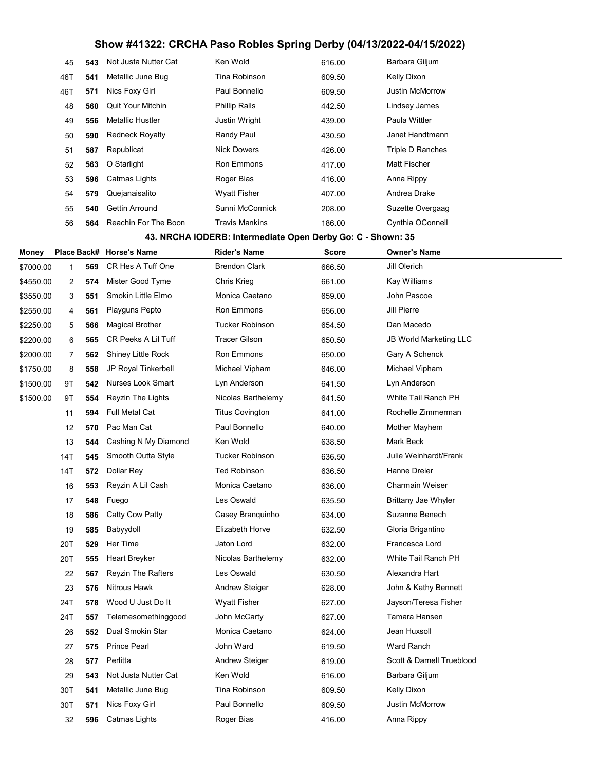## Show #41322: CRCHA Paso Robles Spring Derby (04/13/2022-04/15/2022)

| 45  | 543 | Not Justa Nutter Cat     | Ken Wold              | 616.00 | Barbara Giljum         |
|-----|-----|--------------------------|-----------------------|--------|------------------------|
| 46T | 541 | Metallic June Bug        | Tina Robinson         | 609.50 | Kelly Dixon            |
| 46T | 571 | Nics Foxy Girl           | Paul Bonnello         | 609.50 | <b>Justin McMorrow</b> |
| 48  | 560 | <b>Quit Your Mitchin</b> | <b>Phillip Ralls</b>  | 442.50 | Lindsey James          |
| 49  | 556 | Metallic Hustler         | <b>Justin Wright</b>  | 439.00 | Paula Wittler          |
| 50  | 590 | <b>Redneck Royalty</b>   | Randy Paul            | 430.50 | Janet Handtmann        |
| 51  | 587 | Republicat               | <b>Nick Dowers</b>    | 426.00 | Triple D Ranches       |
| 52  | 563 | O Starlight              | <b>Ron Emmons</b>     | 417.00 | <b>Matt Fischer</b>    |
| 53  | 596 | Catmas Lights            | Roger Bias            | 416.00 | Anna Rippy             |
| 54  | 579 | Quejanaisalito           | <b>Wyatt Fisher</b>   | 407.00 | Andrea Drake           |
| 55  | 540 | Gettin Arround           | Sunni McCormick       | 208.00 | Suzette Overgaag       |
| 56  | 564 | Reachin For The Boon     | <b>Travis Mankins</b> | 186.00 | Cynthia OConnell       |

#### 43. NRCHA IODERB: Intermediate Open Derby Go: C - Shown: 35

| Money     |              |     | Place Back# Horse's Name   | <b>Rider's Name</b>    | <b>Score</b> | <b>Owner's Name</b>           |
|-----------|--------------|-----|----------------------------|------------------------|--------------|-------------------------------|
| \$7000.00 | $\mathbf{1}$ | 569 | CR Hes A Tuff One          | <b>Brendon Clark</b>   | 666.50       | Jill Olerich                  |
| \$4550.00 | 2            | 574 | Mister Good Tyme           | Chris Krieg            | 661.00       | Kay Williams                  |
| \$3550.00 | 3            | 551 | Smokin Little Elmo         | Monica Caetano         | 659.00       | John Pascoe                   |
| \$2550.00 | 4            | 561 | Playguns Pepto             | Ron Emmons             | 656.00       | <b>Jill Pierre</b>            |
| \$2250.00 | 5            | 566 | <b>Magical Brother</b>     | <b>Tucker Robinson</b> | 654.50       | Dan Macedo                    |
| \$2200.00 | 6            | 565 | <b>CR Peeks A Lil Tuff</b> | <b>Tracer Gilson</b>   | 650.50       | <b>JB World Marketing LLC</b> |
| \$2000.00 | 7            | 562 | <b>Shiney Little Rock</b>  | Ron Emmons             | 650.00       | Gary A Schenck                |
| \$1750.00 | 8            | 558 | JP Royal Tinkerbell        | Michael Vipham         | 646.00       | Michael Vipham                |
| \$1500.00 | 9T           | 542 | Nurses Look Smart          | Lyn Anderson           | 641.50       | Lyn Anderson                  |
| \$1500.00 | 9T           | 554 | Reyzin The Lights          | Nicolas Barthelemy     | 641.50       | White Tail Ranch PH           |
|           | 11           | 594 | <b>Full Metal Cat</b>      | <b>Titus Covington</b> | 641.00       | Rochelle Zimmerman            |
|           | 12           | 570 | Pac Man Cat                | Paul Bonnello          | 640.00       | Mother Mayhem                 |
|           | 13           | 544 | Cashing N My Diamond       | Ken Wold               | 638.50       | Mark Beck                     |
|           | 14T          | 545 | Smooth Outta Style         | <b>Tucker Robinson</b> | 636.50       | Julie Weinhardt/Frank         |
|           | 14T          | 572 | Dollar Rey                 | <b>Ted Robinson</b>    | 636.50       | <b>Hanne Dreier</b>           |
|           | 16           | 553 | Reyzin A Lil Cash          | Monica Caetano         | 636.00       | <b>Charmain Weiser</b>        |
|           | 17           | 548 | Fuego                      | Les Oswald             | 635.50       | <b>Brittany Jae Whyler</b>    |
|           | 18           | 586 | Catty Cow Patty            | Casey Branquinho       | 634.00       | Suzanne Benech                |
|           | 19           | 585 | Babyydoll                  | <b>Elizabeth Horve</b> | 632.50       | Gloria Brigantino             |
|           | 20T          | 529 | Her Time                   | Jaton Lord             | 632.00       | Francesca Lord                |
|           | 20T          | 555 | Heart Breyker              | Nicolas Barthelemy     | 632.00       | White Tail Ranch PH           |
|           | 22           | 567 | <b>Reyzin The Rafters</b>  | Les Oswald             | 630.50       | Alexandra Hart                |
|           | 23           | 576 | <b>Nitrous Hawk</b>        | <b>Andrew Steiger</b>  | 628.00       | John & Kathy Bennett          |
|           | 24T          | 578 | Wood U Just Do It          | <b>Wyatt Fisher</b>    | 627.00       | Jayson/Teresa Fisher          |
|           | 24T          | 557 | Telemesomethinggood        | John McCarty           | 627.00       | Tamara Hansen                 |
|           | 26           | 552 | Dual Smokin Star           | Monica Caetano         | 624.00       | Jean Huxsoll                  |
|           | 27           | 575 | <b>Prince Pearl</b>        | John Ward              | 619.50       | <b>Ward Ranch</b>             |
|           | 28           | 577 | Perlitta                   | <b>Andrew Steiger</b>  | 619.00       | Scott & Darnell Trueblood     |
|           | 29           | 543 | Not Justa Nutter Cat       | Ken Wold               | 616.00       | Barbara Giljum                |
|           | 30T          | 541 | Metallic June Bug          | Tina Robinson          | 609.50       | Kelly Dixon                   |
|           | 30T          | 571 | Nics Foxy Girl             | Paul Bonnello          | 609.50       | <b>Justin McMorrow</b>        |
|           | 32           | 596 | Catmas Lights              | Roger Bias             | 416.00       | Anna Rippy                    |
|           |              |     |                            |                        |              |                               |